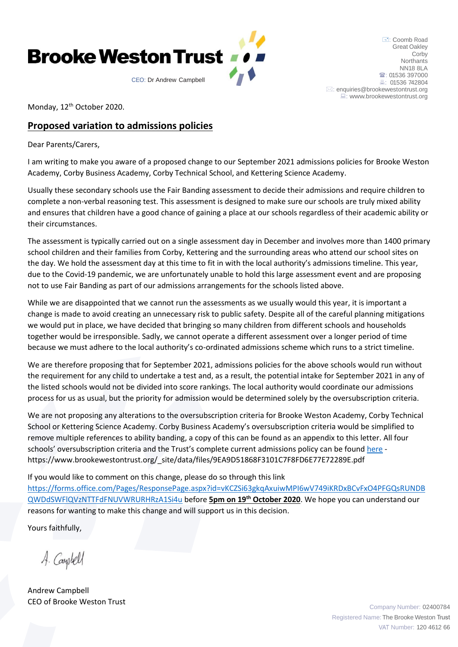

: Coomb Road Great Oakley **Corby Northants** NN18 8LA <sup>2</sup>: 01536 397000 **4: 01536 742804**  $\boxtimes$ [: enquiries@brookewestontrust.org](mailto:enquiries@brookewestontrust.org) [: www.brookewestontrust.org](http://www.brookewestontrust.org/)

Monday, 12<sup>th</sup> October 2020.

## **Proposed variation to admissions policies**

Dear Parents/Carers,

I am writing to make you aware of a proposed change to our September 2021 admissions policies for Brooke Weston Academy, Corby Business Academy, Corby Technical School, and Kettering Science Academy.

Usually these secondary schools use the Fair Banding assessment to decide their admissions and require children to complete a non-verbal reasoning test. This assessment is designed to make sure our schools are truly mixed ability and ensures that children have a good chance of gaining a place at our schools regardless of their academic ability or their circumstances.

The assessment is typically carried out on a single assessment day in December and involves more than 1400 primary school children and their families from Corby, Kettering and the surrounding areas who attend our school sites on the day. We hold the assessment day at this time to fit in with the local authority's admissions timeline. This year, due to the Covid-19 pandemic, we are unfortunately unable to hold this large assessment event and are proposing not to use Fair Banding as part of our admissions arrangements for the schools listed above.

While we are disappointed that we cannot run the assessments as we usually would this year, it is important a change is made to avoid creating an unnecessary risk to public safety. Despite all of the careful planning mitigations we would put in place, we have decided that bringing so many children from different schools and households together would be irresponsible. Sadly, we cannot operate a different assessment over a longer period of time because we must adhere to the local authority's co-ordinated admissions scheme which runs to a strict timeline.

We are therefore proposing that for September 2021, admissions policies for the above schools would run without the requirement for any child to undertake a test and, as a result, the potential intake for September 2021 in any of the listed schools would not be divided into score rankings. The local authority would coordinate our admissions process for us as usual, but the priority for admission would be determined solely by the oversubscription criteria.

We are not proposing any alterations to the oversubscription criteria for Brooke Weston Academy, Corby Technical School or Kettering Science Academy. Corby Business Academy's oversubscription criteria would be simplified to remove multiple references to ability banding, a copy of this can be found as an appendix to this letter. All four schools' oversubscription criteria and the Trust's complete current admissions policy can be found [here](https://www.brookewestontrust.org/_site/data/files/9EA9D51868F3101C7F8FD6E77E72289E.pdf) https://www.brookewestontrust.org/\_site/data/files/9EA9D51868F3101C7F8FD6E77E72289E.pdf

If you would like to comment on this change, please do so through this link

[https://forms.office.com/Pages/ResponsePage.aspx?id=vKCZSi63gkqAxuiwMPI6wV749iKRDxBCvFxO4PFGQsRUNDB](https://forms.office.com/Pages/ResponsePage.aspx?id=vKCZSi63gkqAxuiwMPI6wV749iKRDxBCvFxO4PFGQsRUNDBQWDdSWFlQVzNTTFdFNUVWRURHRzA1Si4u) [QWDdSWFlQVzNTTFdFNUVWRURHRzA1Si4u](https://forms.office.com/Pages/ResponsePage.aspx?id=vKCZSi63gkqAxuiwMPI6wV749iKRDxBCvFxO4PFGQsRUNDBQWDdSWFlQVzNTTFdFNUVWRURHRzA1Si4u) before **5pm on 19th October 2020**. We hope you can understand our reasons for wanting to make this change and will support us in this decision.

Yours faithfully,

A. Campbell

Andrew Campbell CEO of Brooke Weston Trust